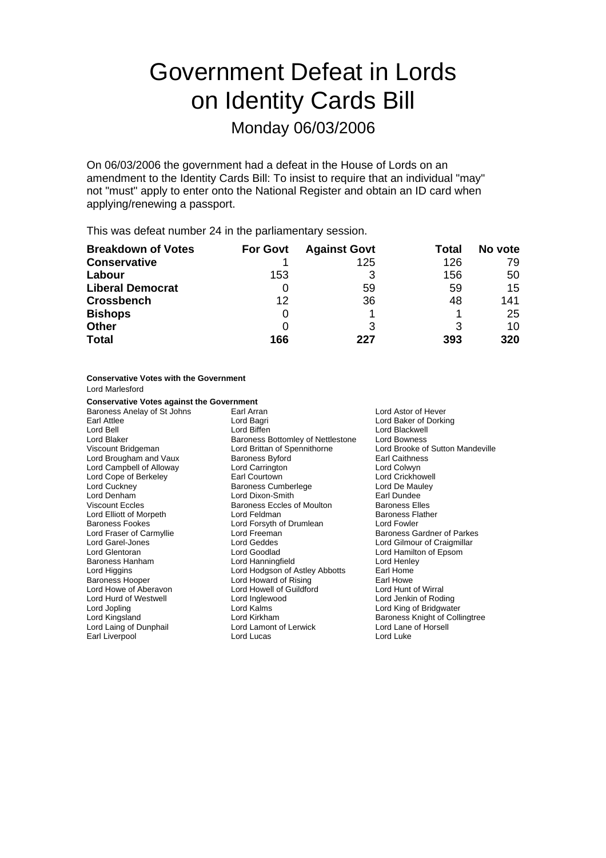# Government Defeat in Lords on Identity Cards Bill

### Monday 06/03/2006

On 06/03/2006 the government had a defeat in the House of Lords on an amendment to the Identity Cards Bill: To insist to require that an individual "may" not "must" apply to enter onto the National Register and obtain an ID card when applying/renewing a passport.

This was defeat number 24 in the parliamentary session.

| <b>Breakdown of Votes</b> | <b>For Govt</b> | <b>Against Govt</b> | Total | No vote |
|---------------------------|-----------------|---------------------|-------|---------|
| <b>Conservative</b>       |                 | 125                 | 126   | 79      |
| Labour                    | 153             |                     | 156   | 50      |
| <b>Liberal Democrat</b>   | 0               | 59                  | 59    | 15      |
| <b>Crossbench</b>         | 12              | 36                  | 48    | 141     |
| <b>Bishops</b>            | 0               |                     |       | 25      |
| <b>Other</b>              | 0               |                     | 3     | 10      |
| <b>Total</b>              | 166             | 227                 | 393   | 320     |

#### **Conservative Votes with the Government** Lord Marlesford

### **Conservative Votes against the Government**

Baroness Anelay of St Johns Earl Arran Earl Arran Lord Astor of Hever<br>
Lord Baker of Dorkin Lord Back Lord Back Lord Baker of Dorkin Earl Attlee **Lord Bagri** Lord Bagri **Lord Backer of Dorking**<br>
Lord Bell Lord Both Lord Biffen<br>
Lord Backwell Lord Blaker **Baroness Bottomley of Nettlestone** Lord Bowness Viscount Bridgeman **Lord Brittan of Spennithorne** Lord Brooke of Sutton Mandeville<br>
Lord Brougham and Vaux **Baroness Byford** Earl Caithness Lord Brougham and Vaux Baroness Byford<br>
Lord Campbell of Alloway Lord Carrington<br>
Lord Campbell of Alloway Lord Carrington Lord Campbell of Alloway Lord Carrington Lord Cope of Berkeley **Earl Courtown** Earl Courtown<br>
Lord Cuckney **Earl Courtown** Baroness Cumberlege **Lord De Mauley** Lord Cuckney The Cuckney Baroness Cumberlege Lord De Mau<br>
Lord Denham Lord Dixon-Smith Cuckness Cumberlege Lord De Mauley Lord Dixon-Smith Viscount Eccles **Baroness Eccles of Moulton** Baroness Elles Lord Elliott of Morpeth **Lord Feldman** Lord Feldman<br>
Baroness Fookes **Baroness Flather** Lord Forsyth of Drumlean **Baroness Flather** Baroness Fookes Lord Forsyth of Drumlean Lord Fowler Lord Garel-Jones Lord Geddes Lord Gilmour of Craigmillar Lord Goodlad **Lord Hamilton of Epsom**<br>Lord Hanningfield Lord Henlev Baroness Hanham Lord Higgins **Lord Hodgson of Astley Abbotts** Earl Home Baroness Hooper **Lord Howard of Rising** Earl Howe<br>
Lord Howe of Aberavon **Lord Howell of Guildford** Lord Hunt of Wirral Lord Howell of Guildford Lord Hunt of Wirral<br>
Lord Inglewood Lord Jenkin of Roding Lord Hurd of Westwell Lord Jopling The Lord Kalms Lord Kalms Lord Colline Lord King of Bridgwater<br>
Lord Kingsland Lord Kirkham Number 2016 Colline Baroness Knight of Colli Lord Kingsland **Lord Kirkham** Lord Kirkham Baroness Knight of Collingtree<br>
Lord Laing of Dunphail Lord Lamont of Lerwick Lord Lane of Horsell Lord Lamont of Lerwick Earl Liverpool **Lord Lucas** Lord Lucas **Lord Luke** 

**Lord Blackwell** Baroness Gardner of Parkes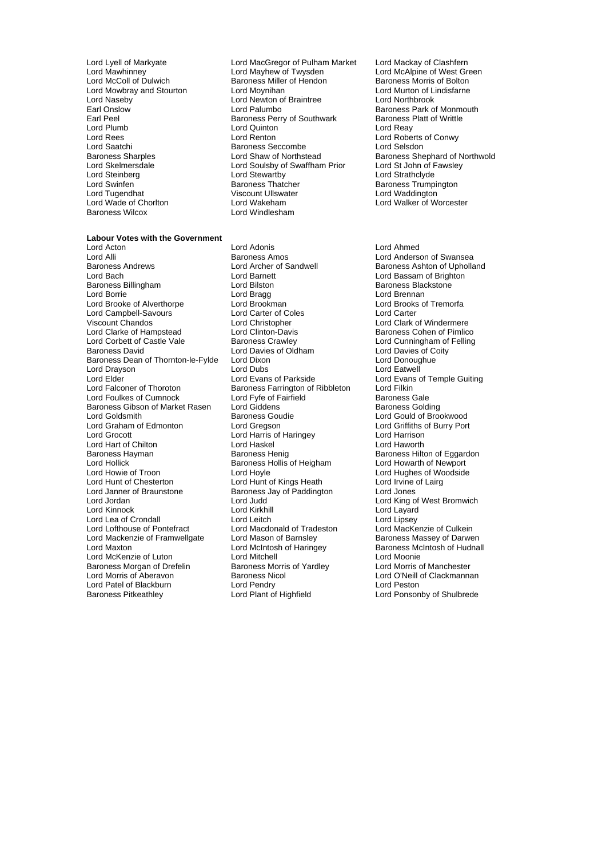Lord Naseby **Lord Newton of Braintree Lord Newton of Braintree**<br>Earl Onslow **Lord Palumbo** Earl Peel<br>
Earl Peel Baroness Perry of Southwark<br>
Lord Quinton Lord Saatchi Baroness Seccombe<br>
Baroness Sharples<br>
Baroness Sharples<br>
Cord Shaw of Northstead

#### **Labour Votes with the Government**

Lord Alli **Communist Club Baroness Amos** Lord Anderson of Swansea<br>Baroness Andrews **Lord Archer of Sandwell** Baroness Ashton of Upholla Baroness Andrews **Lord Archer of Sandwell** Baroness Ashton of Upholland<br>
Lord Baroness Ashton of Upholland<br>
Lord Baroness Ashton of Brighton Baroness Billingham **Baroness Billingham** Lord Bilston **Baroness Backstone**<br>
Lord Borrie **Contains Lord Baroness Blackstone**<br>
Lord Brennan Lord Brooke of Alverthorpe **Lord Brookman** Lord Brooks Cord Brooks Cord Brooks Cord Brooks Cord Brooks Cord Carter<br>
Lord Campbell-Savours **Cord Carter Cord Corter of Coles** Lord Campbell-Savours Viscount Chandos Lord Christopher Lord Clark of Windermere Lord Clarke of Hampstead Lord Clinton-Davis **Baroness Cohen of Pimlico**<br>
Lord Corbett of Castle Vale Baroness Crawley **Baroness Communisty** Lord Cunningham of Felling Baroness David **Lord Davies of Oldham** Baroness Dean of Thornton-le-Fylde Lord Dixon<br>
Lord Dravson Lord Dubs
Lord Dravson<br>
Lord Dravson
Lord Dubs
Lord Patwell Lord Drayson **Lord Dubs**<br>
Lord Elder **Lord Evans of Parkside** Lord Falconer of Thoroton **Baroness Farrington of Ribbleton** Lord Filkin<br>
Lord Foulkes of Cumnock Lord Fyfe of Fairfield **Baroness Gale** Lord Foulkes of Cumnock Lord Fyfe of Fairfield Baroness Gale<br>Baroness Gibson of Market Rasen Lord Giddens Coldina Baroness Gibson of Market Rasen Lord Giddens<br>Lord Goldsmith Baroness Goudie Lord Graham of Edmonton Lord Gregson Lord Griffiths of Burry Port Lord Grocott Lord Harris of Haringey Lord Harrison Lord Hart of Chilton<br>
Baroness Hayman<br>
Baroness Henig Baroness Hayman **Baroness Henig** Baroness Henig Baroness Hilton of Eggardon<br>
Baroness Hollis of Heigham Lord Howarth of Newport Lord Hollick **Consumers Hollis Consumersion Consumers** Baroness Hollis of Heigham Lord Howle Lord Howie of Troon Lord Hoyle Cord Hoyle Lord Hughes of Woodside<br>
Lord Hunt of Chesterton Lord Hunt of Kings Heath Lord Irvine of Lairg Lord Janner of Braunstone **Baroness Jay of Paddington** Lord Jones Lord Jordan Lord Judd Lord Cord Cord Lord King of West Bromwich<br>Lord Kinnock Lord King Lord King Lord Lavard Lord Kinnock Lord Kirkhil<br>Lord Lea of Crondall Lord Leitch Lord Lea of Crondall **Lord Leitch** Lord Leitch **Lord Lipsey**<br>
Lord Lord Lord Machald of Tradeston Lord MacKenzie of Culkein Lord Lofthouse of Pontefract Lord Macdonald of Tradeston Lord MacKenzie of Culkein<br>Lord Mackenzie of Framwellgate Lord Mason of Barnsley Baroness Massey of Darwen Lord Mackenzie of Framwellgate Lord Mason of Barnsley<br>Lord Maxton **Baroness Manual Lord McIntosh of Haringey** Lord Maxton **Lord McIntosh of Haringey** Baroness McIntosh of Hudnall Lord McKenzie of Luton<br>
Lord Moonie<br>
Baroness Morgan of Drefelin 
Baroness Morris of Yardley

Lord Morris of Manchester Baroness Morgan of Drefelin Baroness Morris<br>
Lord Morris of Aberavon Baroness Nicol Lord Patel of Blackburn **Lord Pendry** Lord Pendry Cord Peston<br>
Baroness Pitkeathley **Lord Plant of Highfield** Lord Ponsor

Lord Lyell of Markyate Lord MacGregor of Pulham Market Lord Mackay of Clashfern<br>Lord Mayhew of Twysden Lord McAlpine of West Gre Lord Mawhinney **Lord Mayhew of Twysden** Lord McAlpine of West Green<br>
Lord McColl of Dulwich **Collection** Baroness Miller of Hendon **Baroness Morris of Bolton** Exaroness Miller of Hendon Baroness Morris of Bolton Baroness Morris of Bolton Baroness Morris of Bolton Baroness Morris of Bolton Baroness Morris of Bolton Baroness Morris of Bolton Baroness Morris of Baroness Morris of B Lord Mowbray and Stourton Lord Moynihan **Lord Monument Lord Murton of Lindisfariation**<br>
Lord Naseby Lord Newton of Braintree **Lord Northbrook** Earl Onslow **Example 2** Lord Palumbo Baroness Park of Monmouth Earl Peel<br>
Baroness Perry of Southwark Baroness Platt of Writtle Lord Plumb Lord Quinton Lord Reay Lord Rees Lord Renton Correspondence Lord Roberts of Conwy<br>
Lord Saatchi Correspondence Baroness Seccombe Correspondence Lord Selsdon Baroness Sharples **Exercise Sharples Constructs Constructs** Lord Shaw of Northstead Baroness Shephard of Northwold<br>
Lord Skelmersdale **Baroness Sharpless Constructs Constructs** Lord St John of Fawsley Lord Skelmersdale **Lord Soulsby of Swaffham Prior**<br>
Lord Stevartby<br>
Lord Stewartby Lord Steinberg **Lord Stewartby** Cord Stewartby **Lord Strathclyde**<br>
Lord Swinfen **Cord Strathclub Baroness Thatcher Cord Strathclyde**<br>
Baroness Thatcher **Baroness Thatcher** Lord Swinfen Thatcher Baroness Thatcher Thatcher Baroness Trumpington<br>
Lord Tugendhat That Baroness Thatcher Chronicle Baroness Trumpington Lord Tugendhat **Channel Communist Communist Viscount Ullswater Communist Communist Communist Communist Communist Communist Communist Communist Communist Communist Communist Communist Communist Communist Communist Communist** Lord Wade of Chorlton Lord Wakeham Lord Walker of Worcester Lord Windlesham

Lord Acton Lord Adonis Lord Ahmed Lord Borrie Lord Bragg Lord Brennan Lord Hunt of Kings Heath Lord Irvine of Lairg

Lord Bassam of Brighton Lord Cunningham of Felling<br>Lord Davies of Coity Lord Evans of Temple Guiting Lord Gould of Brookwood Lord O'Neill of Clackmannan Lord Ponsonby of Shulbrede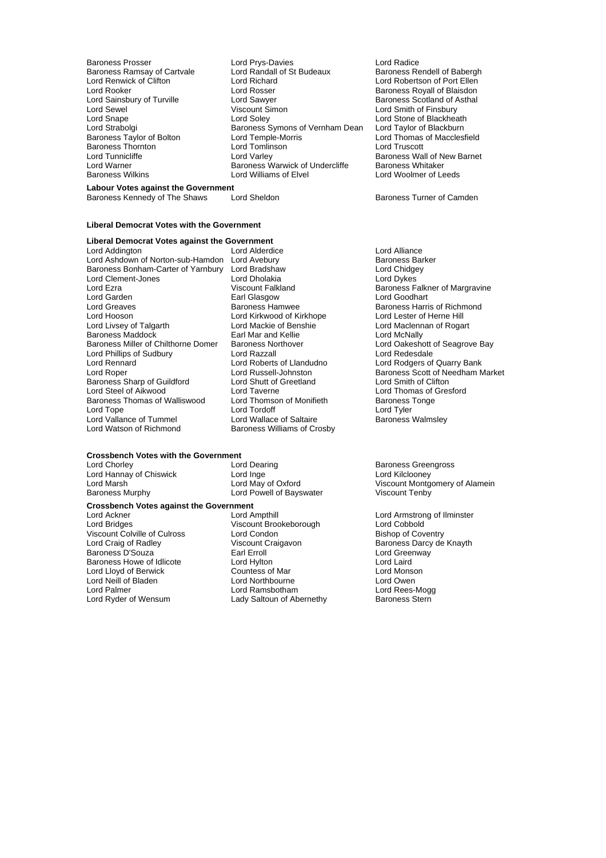Baroness Ramsay of Cartvale Lord Randall<br>
Lord Renwick of Clifton<br>
Lord Richard

Baroness Prosser Lord Prys-Davies Lord Radice Lord Renwick of Clifton Lord Richard Lord Robertson of Port Ellen Lord Rooker **Lord Rosser** Communic Lord Rosser **Baroness Royall of Blaisdon**<br>
Lord Sainsbury of Turville **Baroness Lord Sawyer Baroness Scotland of Asthal** Lord Sainsbury of Turville **Lord Sawyer Communist Communist Communist** Baroness Scotland of Asthal<br>Lord Sewel Communist Communist Communist Communist Communist Communist Communist Communist Communist Communist<br>Lord Sewel Lord Sewel **Contains Container Simon** Lord Sewel Viscount Simon Lord Smith of Finsbury<br>
Lord Snape Lord Soley Lord Stone of Blackhea Lord Snape Lord Soley Lord Strabolgi<br>
Lord Strabolgi Baroness Symons of Vernham Dean Lord Taylor of Blackheath<br>
Lord Strabolgi Baroness Symons of Vernham Dean Lord Taylor of Blackburn Lord Strabolgi Baroness Symons of Vernham Dean Baroness Taylor of Bolton<br>Baroness Taylor of Bolton Lord Temple-Morris Lord Temple-Morris **Taylor Constructs Taylor Constructs** Lord Thomas of Macclesfield<br>
Lord Truscott Baroness Thornton Lord Tomlinson Lord Truscott Lord Tunnicliffe Lord Varley Baroness Wall of New Barnet Lord Warner **Baroness Warwick of Undercliffe** Baroness Whitaker Baroness Wilkins Lord Williams of Elvel Lord Woolmer of Leeds

Baroness Kennedy of The Shaws Lord Sheldon Baroness Turner of Camden

## **Labour Votes against the Government**

#### **Liberal Democrat Votes with the Government**

**Liberal Democrat Votes against the Government**

Lord Addington **Lord Alderdice** Lord Alderdice **Lord Alliance** Lord Ashdown of Norton-sub-Hamdon Lord Avebury **Baroness Barker** Baroness Barker Baroness Bonham-Carter of Yarnbury Lord Bradshaw **Lord Chidgey Lord Chidgey**<br>
Lord Clement-Jones Lord Dholakia **Lord Dykes** Lord Clement-Jones Lord Dholakia Lord Dykes Lord Ezra Viscount Falkland Baroness Falkner of Margravine<br>
Lord Garden Card Baroness Falkner Classoow Cord Goodhart Lord Garden **Earl Glasgow**<br> **Earl Greaves**<br> **Early Baroness Hamwee** Lord Greaves **Baroness Hamwee** Baroness Hames Harris of Richmond<br>
Lord Hooson **Baroness Harris of Allam Baroness Harris of Allam Baroness Harris of Richmond** Lord Hooson Lord Kirkwood of Kirkhope<br>
Lord Livsey of Talgarth Lord Mackie of Benshie Lord Livsey of Talgarth Lord Mackie of Benshie Cord Maclennan of Rogart<br>Baroness Maddock Cord Lord Mar and Kellie Cord McNally Baroness Maddock Earl Mar and Kellie<br>Baroness Miller of Chilthorne Domer Baroness Northover Lord Phillips of Sudbury Lord Razzall<br>Lord Rennard Lord Roberts of Llandudno Lord Rennard **Lord Roberts of Liandudno**<br>
Lord Rober **Connect Lord Russell-Johnston**<br>
Lord Rober **Baroness Scott of Needham N** Baroness Sharp of Guildford Lord Steel of Aikwood<br>
Baroness Thomas of Walliswood Lord Thomson of Monifieth Baroness Tonge<br>
Lord Thomson of Monifieth Baroness Tonge Baroness Thomas of Walliswood Lord Thomson of Monifieth Baroness<br>
Lord Tonge Lord Tordoff Cord Tuler Lord Tyler Lord Vallance of Tummel<br>Lord Watson of Richmond

Lord Tordoff<br>
Lord Wallace of Saltaire<br>
Baroness Walmsley Baroness Williams of Crosby

# **Crossbench Votes with the Government**<br>Lord Chorlev Lord Dearing

Lord Hannay of Chiswick Lord Inge<br>
Lord Marsh Lord May of Oxford Baroness Murphy **Example 2** Lord Powell of Bayswater

**Crossbench Votes against the Government**

Lord Bridges<br>
Lord Bridges Miscount Brookeborough Lord Cobbold<br>
Viscount Colville of Culross Lord Condon<br>
Lord Condon Bishop of Coventry Viscount Colville of Culross Lord Condon<br>
Lord Craig of Radley Miscount Craigavon Baroness D'Souza i in the Earl Erroll Christian Lord Greenway Controll Lord Greenway Christian Lord Laird<br>Baroness Howe of Idlicote Christian Lord Hylton Christian Lord Laird Baroness Howe of Idlicote Lord Lloyd of Berwick **Countess of Mar** Countess of Mar Countess of Mar Countess of Mar Countess of Mar Countess Countess of Mar Countess Countess and Countess Lord Avenue Counters and Counters and Counters and Counters an Lord Neill of Bladen Lord Northbourne Lord Owen Lord Palmer Lord Ramsbotham Lord Rees-Mogg<br>
Lord Ryder of Wensum Lady Saltoun of Abernethy Baroness Stern

Lord Ackner The Lord Ampthill Lord Ampthill Lord Armstrong of Ilminster<br>
Lord Armstrong of Ilminster<br>
Lord Bridges The Viscount Brookeborough Lord Cobbold Viscount Craigavon **Baroness Darcy de Knayth Craigavon**<br> **Earl Erroll** Lord Greenway Lady Saltoun of Abernethy

Baroness Northover Lord Oakeshott of Seagrove Bay<br>
Lord Razzall Lord Calculate Lord Redesdale Lord Russell-Johnston Baroness Scott of Needham Market<br>
Lord Shutt of Greetland Lord Smith of Clifton

Lord Dearing **Chorles Chorles Chorles Chorles Chorles Chorles Chorles Chorles Chorles Chorles Chorles Chorles C**<br>
Baroness Greengross Chorles Chorles Chorles Chorles Chorles Chorles Chorles Chorles Chorles Chorles Chorles Viscount Montgomery of Alamein<br>Viscount Tenby